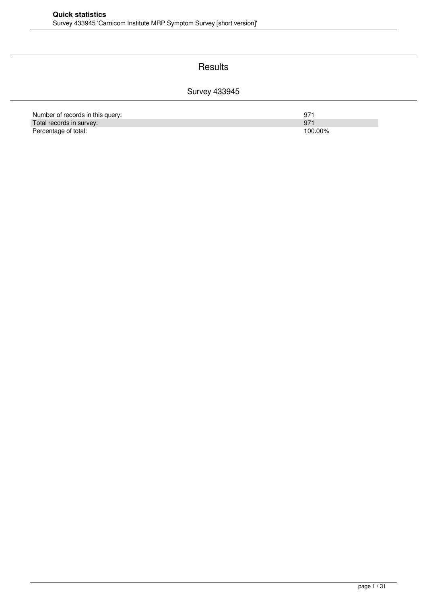#### **Results**

#### Survey 433945

| Number of records in this query: | 97      |
|----------------------------------|---------|
| Total records in survey:         | 97'     |
| Percentage of total:             | 100.00% |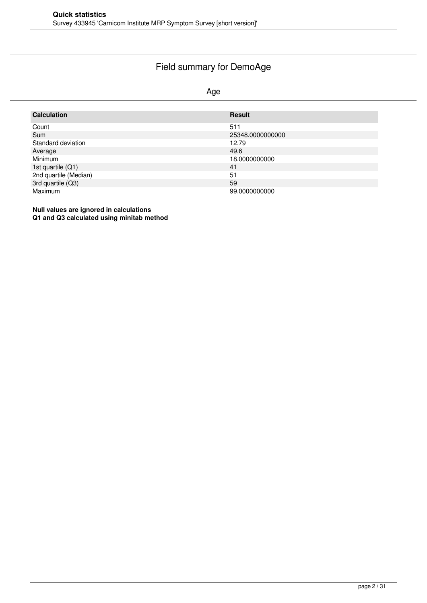### Field summary for DemoAge

#### Age

| <b>Calculation</b>    | <b>Result</b>    |
|-----------------------|------------------|
| Count                 | 511              |
| Sum                   | 25348.0000000000 |
| Standard deviation    | 12.79            |
| Average               | 49.6             |
| <b>Minimum</b>        | 18.0000000000    |
| 1st quartile (Q1)     | 41               |
| 2nd quartile (Median) | 51               |
| 3rd quartile (Q3)     | 59               |
| <b>Maximum</b>        | 99.0000000000    |

**Null values are ignored in calculations Q1 and Q3 calculated using minitab method**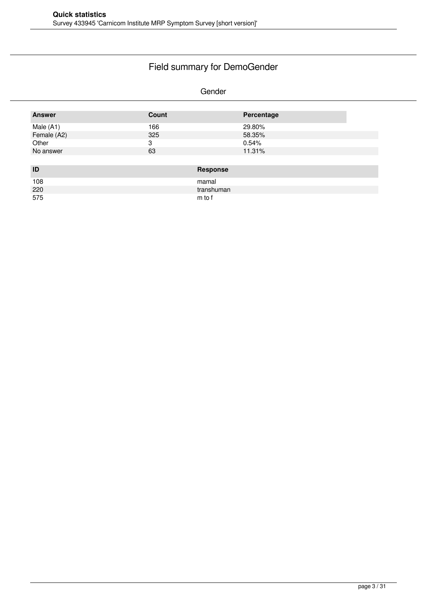# Field summary for DemoGender

#### Gender

| <b>Answer</b> | Count |                 | Percentage |
|---------------|-------|-----------------|------------|
| Male (A1)     | 166   |                 | 29.80%     |
| Female (A2)   | 325   |                 | 58.35%     |
| Other         | 3     |                 | 0.54%      |
| No answer     | 63    |                 | 11.31%     |
|               |       |                 |            |
| ID            |       | <b>Response</b> |            |
| 108           |       | mamal           |            |
| 220           |       | transhuman      |            |
| 575           |       | m to f          |            |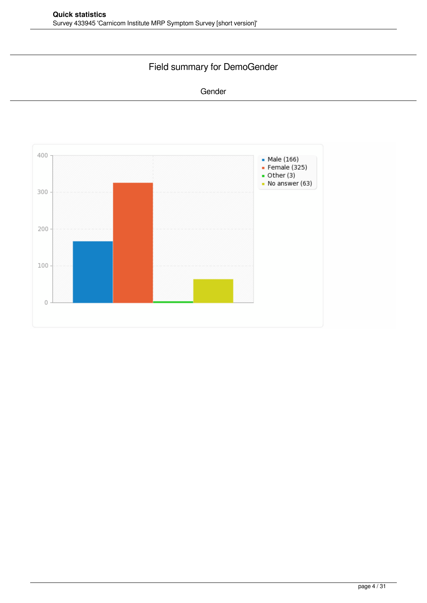### Field summary for DemoGender

#### Gender

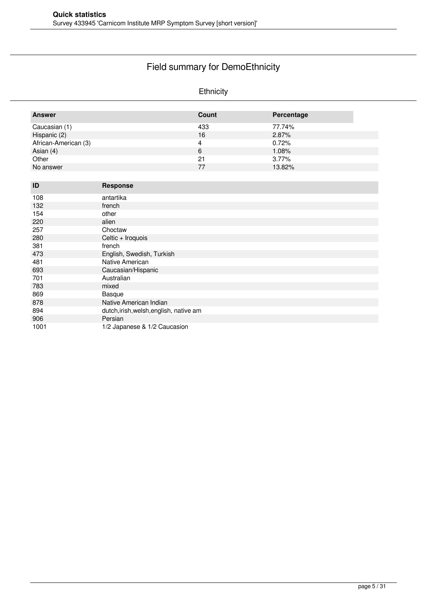# Field summary for DemoEthnicity

#### Ethnicity

| Caucasian (1)<br>433<br>77.74%     |
|------------------------------------|
|                                    |
| Hispanic (2)<br>16<br>2.87%        |
| African-American (3)<br>0.72%<br>4 |
| Asian $(4)$<br>1.08%<br>6          |
| Other<br>21<br>3.77%               |
| 13.82%<br>No answer<br>77          |

| ID   | <b>Response</b>                         |
|------|-----------------------------------------|
| 108  | antartika                               |
| 132  | french                                  |
| 154  | other                                   |
| 220  | alien                                   |
| 257  | Choctaw                                 |
| 280  | Celtic + Iroquois                       |
| 381  | french                                  |
| 473  | English, Swedish, Turkish               |
| 481  | Native American                         |
| 693  | Caucasian/Hispanic                      |
| 701  | Australian                              |
| 783  | mixed                                   |
| 869  | Basque                                  |
| 878  | Native American Indian                  |
| 894  | dutch, irish, welsh, english, native am |
| 906  | Persian                                 |
| 1001 | 1/2 Japanese & 1/2 Caucasion            |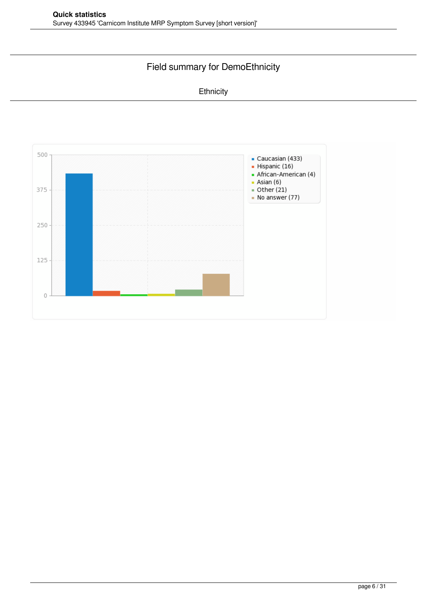### Field summary for DemoEthnicity

#### **Ethnicity**

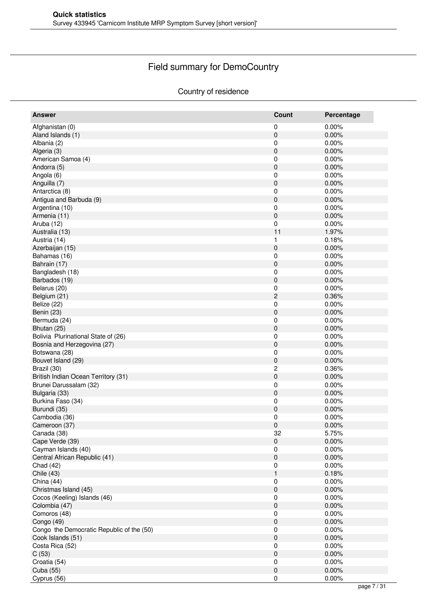# Field summary for DemoCountry

#### Country of residence

| <b>Answer</b>                             | <b>Count</b>        | Percentage |
|-------------------------------------------|---------------------|------------|
| Afghanistan (0)                           | 0                   | 0.00%      |
| Aland Islands (1)                         | $\pmb{0}$           | 0.00%      |
| Albania (2)                               | 0                   | 0.00%      |
| Algeria (3)                               | 0                   | 0.00%      |
| American Samoa (4)                        | 0                   | 0.00%      |
| Andorra (5)                               | $\pmb{0}$           | 0.00%      |
| Angola (6)                                | 0                   | 0.00%      |
| Anguilla (7)                              | $\pmb{0}$           | 0.00%      |
| Antarctica (8)                            | 0                   | 0.00%      |
| Antigua and Barbuda (9)                   | $\pmb{0}$           | 0.00%      |
| Argentina (10)                            | 0                   | 0.00%      |
| Armenia (11)                              | 0                   | 0.00%      |
| Aruba (12)                                | $\pmb{0}$           | 0.00%      |
| Australia (13)                            | 11                  | 1.97%      |
| Austria (14)                              | 1                   | 0.18%      |
|                                           |                     |            |
| Azerbaijan (15)                           | $\pmb{0}$           | 0.00%      |
| Bahamas (16)                              | 0                   | 0.00%      |
| Bahrain (17)                              | $\pmb{0}$           | 0.00%      |
| Bangladesh (18)                           | 0                   | 0.00%      |
| Barbados (19)                             | $\pmb{0}$           | 0.00%      |
| Belarus (20)                              | 0                   | 0.00%      |
| Belgium (21)                              | $\mathbf 2$         | 0.36%      |
| Belize (22)                               | 0                   | 0.00%      |
| Benin (23)                                | $\pmb{0}$           | 0.00%      |
| Bermuda (24)                              | 0                   | 0.00%      |
| Bhutan (25)                               | $\pmb{0}$           | 0.00%      |
| Bolivia Plurinational State of (26)       | 0                   | 0.00%      |
| Bosnia and Herzegovina (27)               | 0                   | 0.00%      |
| Botswana (28)                             | $\pmb{0}$           | 0.00%      |
| Bouvet Island (29)                        | $\pmb{0}$           | 0.00%      |
| Brazil (30)                               | $\boldsymbol{2}$    | 0.36%      |
| British Indian Ocean Territory (31)       | $\pmb{0}$           | 0.00%      |
| Brunei Darussalam (32)                    | 0                   | 0.00%      |
| Bulgaria (33)                             | $\pmb{0}$           | 0.00%      |
| Burkina Faso (34)                         | 0                   | 0.00%      |
| Burundi (35)                              | 0                   | 0.00%      |
| Cambodia (36)                             | 0                   | 0.00%      |
| Cameroon (37)                             | $\mathbf 0$         | 0.00%      |
| Canada (38)                               | 32                  | 5.75%      |
| Cape Verde (39)                           | $\mathsf{O}\xspace$ | 0.00%      |
| Cayman Islands (40)                       | 0                   | 0.00%      |
| Central African Republic (41)             | $\mathsf{O}\xspace$ | 0.00%      |
| Chad (42)                                 |                     | 0.00%      |
|                                           | 0<br>$\mathbf{1}$   | 0.18%      |
| Chile (43)                                |                     | 0.00%      |
| China (44)                                | 0                   |            |
| Christmas Island (45)                     | $\pmb{0}$           | 0.00%      |
| Cocos (Keeling) Islands (46)              | 0                   | 0.00%      |
| Colombia (47)                             | $\pmb{0}$           | 0.00%      |
| Comoros (48)                              | $\pmb{0}$           | 0.00%      |
| Congo (49)                                | $\mathsf{O}\xspace$ | 0.00%      |
| Congo the Democratic Republic of the (50) | 0                   | 0.00%      |
| Cook Islands (51)                         | $\pmb{0}$           | 0.00%      |
| Costa Rica (52)                           | 0                   | 0.00%      |
| C(53)                                     | $\pmb{0}$           | 0.00%      |
| Croatia (54)                              | 0                   | 0.00%      |
| Cuba (55)                                 | $\pmb{0}$           | 0.00%      |
| Cyprus (56)                               | $\pmb{0}$           | 0.00%      |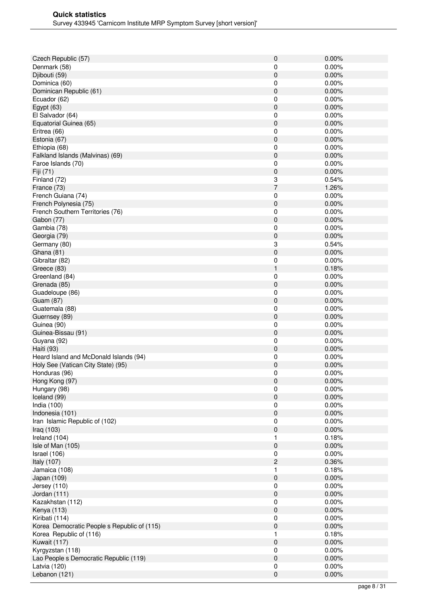| Czech Republic (57)                         | 0                   | 0.00%          |
|---------------------------------------------|---------------------|----------------|
| Denmark (58)                                | 0                   | 0.00%          |
| Djibouti (59)                               | 0                   | 0.00%          |
| Dominica (60)                               | 0                   | 0.00%          |
| Dominican Republic (61)                     | 0                   | 0.00%          |
| Ecuador (62)                                | 0                   | 0.00%          |
| Egypt $(63)$                                | 0                   | 0.00%          |
| El Salvador (64)                            | 0                   | 0.00%          |
| Equatorial Guinea (65)                      | 0                   | 0.00%          |
| Eritrea (66)                                | 0                   | 0.00%          |
| Estonia (67)                                | 0                   | 0.00%          |
| Ethiopia (68)                               | 0                   | 0.00%          |
| Falkland Islands (Malvinas) (69)            | 0                   | 0.00%          |
| Faroe Islands (70)                          | 0                   | 0.00%          |
| Fiji (71)                                   | 0                   | 0.00%          |
| Finland (72)                                | 3<br>$\overline{7}$ | 0.54%          |
| France (73)                                 |                     | 1.26%          |
| French Guiana (74)                          | 0                   | 0.00%<br>0.00% |
| French Polynesia (75)                       | 0                   |                |
| French Southern Territories (76)            | 0                   | 0.00%          |
| Gabon (77)<br>Gambia (78)                   | $\pmb{0}$<br>0      | 0.00%<br>0.00% |
|                                             |                     | 0.00%          |
| Georgia (79)                                | 0                   |                |
| Germany (80)<br>Ghana (81)                  | 3<br>0              | 0.54%<br>0.00% |
|                                             |                     | 0.00%          |
| Gibraltar (82)                              | 0<br>1              | 0.18%          |
| Greece (83)<br>Greenland (84)               | 0                   | 0.00%          |
| Grenada (85)                                | 0                   | 0.00%          |
| Guadeloupe (86)                             | 0                   | 0.00%          |
| <b>Guam (87)</b>                            | 0                   | 0.00%          |
| Guatemala (88)                              | 0                   | 0.00%          |
| Guernsey (89)                               | 0                   | 0.00%          |
| Guinea (90)                                 | 0                   | 0.00%          |
| Guinea-Bissau (91)                          | 0                   | 0.00%          |
| Guyana (92)                                 | 0                   | 0.00%          |
| Haiti (93)                                  | $\pmb{0}$           | 0.00%          |
| Heard Island and McDonald Islands (94)      | 0                   | 0.00%          |
| Holy See (Vatican City State) (95)          | 0                   | 0.00%          |
| Honduras (96)                               | 0                   | 0.00%          |
| Hong Kong (97)                              | $\pmb{0}$           | 0.00%          |
| Hungary (98)                                | 0                   | 0.00%          |
| Iceland (99)                                | 0                   | 0.00%          |
| India (100)                                 | 0                   | 0.00%          |
| Indonesia (101)                             | $\pmb{0}$           | 0.00%          |
| Iran Islamic Republic of (102)              | 0                   | 0.00%          |
| Iraq (103)                                  | 0                   | 0.00%          |
| Ireland (104)                               | 1                   | 0.18%          |
| Isle of Man (105)                           | 0                   | 0.00%          |
| Israel (106)                                | 0                   | 0.00%          |
| Italy (107)                                 | $\mathbf{c}$        | 0.36%          |
| Jamaica (108)                               | 1                   | 0.18%          |
| Japan (109)                                 | $\pmb{0}$           | 0.00%          |
| Jersey (110)                                | $\pmb{0}$           | 0.00%          |
| Jordan (111)                                | 0                   | 0.00%          |
| Kazakhstan (112)                            | 0                   | 0.00%          |
| Kenya (113)                                 | 0                   | 0.00%          |
| Kiribati (114)                              | 0                   | 0.00%          |
| Korea Democratic People s Republic of (115) | 0                   | 0.00%          |
| Korea Republic of (116)                     | 1                   | 0.18%          |
| Kuwait (117)                                | $\pmb{0}$           | 0.00%          |
| Kyrgyzstan (118)                            | 0                   | 0.00%          |
| Lao People s Democratic Republic (119)      | 0                   | 0.00%          |
| Latvia (120)                                | 0                   | 0.00%          |
| Lebanon (121)                               | $\mathsf 0$         | 0.00%          |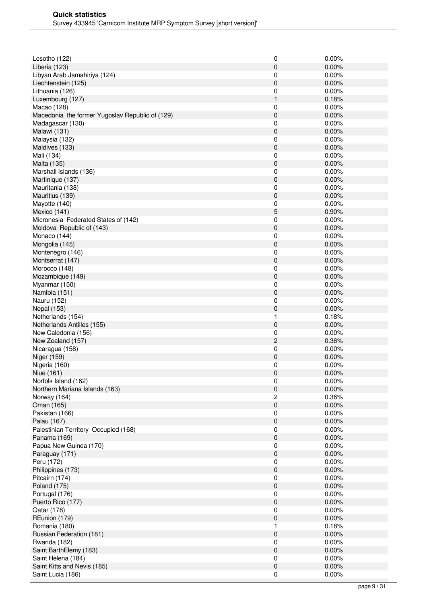| Lesotho (122)                                   | 0              | 0.00% |
|-------------------------------------------------|----------------|-------|
| Liberia (123)                                   | 0              | 0.00% |
| Libyan Arab Jamahiriya (124)                    | 0              | 0.00% |
| Liechtenstein (125)                             | 0              | 0.00% |
| Lithuania (126)                                 | 0              | 0.00% |
| Luxembourg (127)                                | 1              | 0.18% |
| Macao (128)                                     | 0              | 0.00% |
| Macedonia the former Yugoslav Republic of (129) | 0              | 0.00% |
| Madagascar (130)                                | 0              | 0.00% |
| Malawi (131)                                    | 0              | 0.00% |
| Malaysia (132)                                  | 0              | 0.00% |
| Maldives (133)                                  | 0              | 0.00% |
| Mali (134)                                      | 0              | 0.00% |
| Malta (135)                                     | $\mathbf 0$    | 0.00% |
| Marshall Islands (136)                          | 0              | 0.00% |
| Martinique (137)                                | 0              | 0.00% |
| Mauritania (138)                                | 0              | 0.00% |
| Mauritius (139)                                 | 0              | 0.00% |
| Mayotte (140)                                   | 0              | 0.00% |
| Mexico (141)                                    | 5              | 0.90% |
| Micronesia Federated States of (142)            | 0              | 0.00% |
| Moldova Republic of (143)                       | $\pmb{0}$      | 0.00% |
| Monaco (144)                                    | 0              | 0.00% |
| Mongolia (145)                                  | 0              | 0.00% |
| Montenegro (146)                                | 0              | 0.00% |
| Montserrat (147)                                | 0              | 0.00% |
| Morocco (148)                                   | 0              | 0.00% |
| Mozambique (149)                                | 0              | 0.00% |
| Myanmar (150)                                   | 0              | 0.00% |
| Namibia (151)                                   | $\mathbf 0$    | 0.00% |
| Nauru (152)                                     | 0              | 0.00% |
| <b>Nepal (153)</b>                              | 0              | 0.00% |
| Netherlands (154)                               | 1              | 0.18% |
| Netherlands Antilles (155)                      | 0              | 0.00% |
| New Caledonia (156)                             | 0              | 0.00% |
| New Zealand (157)                               | $\overline{c}$ | 0.36% |
| Nicaragua (158)                                 | 0              | 0.00% |
| Niger (159)                                     | $\pmb{0}$      | 0.00% |
| Nigeria (160)                                   | 0              | 0.00% |
| Niue (161)                                      | 0              | 0.00% |
| Norfolk Island (162)                            | 0              | 0.00% |
| Northern Mariana Islands (163)                  | 0              | 0.00% |
| Norway (164)                                    | 2              | 0.36% |
| Oman (165)                                      | $\pmb{0}$      | 0.00% |
| Pakistan (166)                                  | 0              | 0.00% |
| Palau (167)                                     | $\pmb{0}$      | 0.00% |
| Palestinian Territory Occupied (168)            | 0              | 0.00% |
| Panama (169)                                    | 0              | 0.00% |
| Papua New Guinea (170)                          | 0              | 0.00% |
|                                                 | 0              | 0.00% |
| Paraguay (171)                                  |                | 0.00% |
| Peru (172)                                      | 0<br>0         | 0.00% |
| Philippines (173)                               |                |       |
| Pitcairn (174)                                  | 0<br>$\pmb{0}$ | 0.00% |
| <b>Poland (175)</b>                             |                | 0.00% |
| Portugal (176)                                  | $\pmb{0}$      | 0.00% |
| Puerto Rico (177)                               | 0              | 0.00% |
| Qatar (178)                                     | 0              | 0.00% |
| REunion (179)                                   | 0              | 0.00% |
| Romania (180)                                   | 1              | 0.18% |
| Russian Federation (181)                        | 0              | 0.00% |
| Rwanda (182)                                    | 0              | 0.00% |
| Saint BarthElemy (183)                          | $\pmb{0}$      | 0.00% |
| Saint Helena (184)                              | 0              | 0.00% |
| Saint Kitts and Nevis (185)                     | 0              | 0.00% |
| Saint Lucia (186)                               | 0              | 0.00% |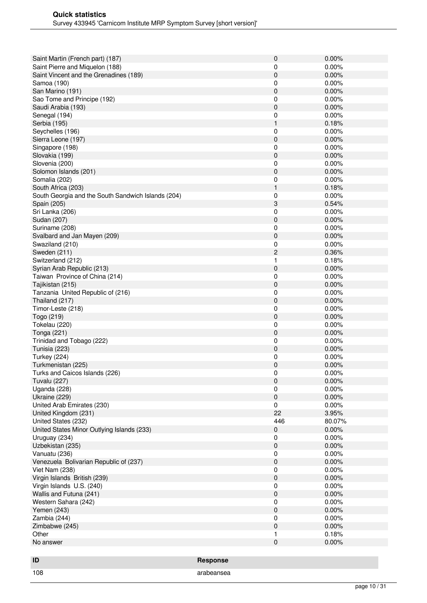| Saint Martin (French part) (187)                   |                 | $\pmb{0}$ | 0.00%    |
|----------------------------------------------------|-----------------|-----------|----------|
| Saint Pierre and Miquelon (188)                    |                 | 0         | 0.00%    |
| Saint Vincent and the Grenadines (189)             |                 | 0         | 0.00%    |
| Samoa (190)                                        |                 | 0         | 0.00%    |
| San Marino (191)                                   |                 | 0         | 0.00%    |
| Sao Tome and Principe (192)                        |                 | 0         | 0.00%    |
| Saudi Arabia (193)                                 |                 | 0         | 0.00%    |
| Senegal (194)                                      |                 | 0         | 0.00%    |
| Serbia (195)                                       |                 | 1         | 0.18%    |
| Seychelles (196)                                   |                 | 0         | 0.00%    |
| Sierra Leone (197)                                 |                 | 0         | 0.00%    |
| Singapore (198)                                    |                 | 0         | 0.00%    |
| Slovakia (199)                                     |                 | 0         | 0.00%    |
| Slovenia (200)                                     |                 | 0         | 0.00%    |
| Solomon Islands (201)                              |                 | 0         | 0.00%    |
| Somalia (202)                                      |                 | 0         | 0.00%    |
| South Africa (203)                                 |                 | 1         | 0.18%    |
| South Georgia and the South Sandwich Islands (204) |                 | 0         | 0.00%    |
| Spain (205)                                        |                 | 3         | 0.54%    |
| Sri Lanka (206)                                    |                 | 0         | 0.00%    |
| Sudan (207)                                        |                 | 0         | 0.00%    |
| Suriname (208)                                     |                 | 0         | 0.00%    |
| Svalbard and Jan Mayen (209)                       |                 | 0         | 0.00%    |
| Swaziland (210)                                    |                 | 0         | 0.00%    |
| Sweden (211)                                       |                 | 2         | 0.36%    |
| Switzerland (212)                                  |                 | 1         | 0.18%    |
| Syrian Arab Republic (213)                         |                 | 0         | 0.00%    |
| Taiwan Province of China (214)                     |                 | 0         | 0.00%    |
| Tajikistan (215)                                   |                 | 0         | 0.00%    |
| Tanzania United Republic of (216)                  |                 | 0         | 0.00%    |
| Thailand (217)                                     |                 | 0         | 0.00%    |
| Timor-Leste (218)                                  |                 | 0         | 0.00%    |
| Togo (219)                                         |                 | 0         | 0.00%    |
| Tokelau (220)                                      |                 | 0         | $0.00\%$ |
| Tonga (221)                                        |                 | 0         | 0.00%    |
| Trinidad and Tobago (222)                          |                 | 0         | 0.00%    |
| Tunisia (223)                                      |                 | 0         | 0.00%    |
| <b>Turkey (224)</b>                                |                 | 0         | 0.00%    |
| Turkmenistan (225)                                 |                 | 0         | 0.00%    |
| Turks and Caicos Islands (226)                     |                 | 0         | 0.00%    |
| <b>Tuvalu (227)</b>                                |                 | $\pmb{0}$ | 0.00%    |
| Uganda (228)                                       |                 | 0         | 0.00%    |
| Ukraine (229)                                      |                 | 0         | 0.00%    |
| United Arab Emirates (230)                         |                 | 0         | 0.00%    |
| United Kingdom (231)                               |                 | 22        | 3.95%    |
| United States (232)                                |                 | 446       | 80.07%   |
| United States Minor Outlying Islands (233)         |                 | 0         | 0.00%    |
| Uruguay (234)                                      |                 | 0         | 0.00%    |
| Uzbekistan (235)                                   |                 | 0         | 0.00%    |
| Vanuatu (236)                                      |                 | 0         | 0.00%    |
| Venezuela Bolivarian Republic of (237)             |                 | 0         | 0.00%    |
| Viet Nam (238)                                     |                 | 0         | 0.00%    |
| Virgin Islands British (239)                       |                 | 0         | 0.00%    |
| Virgin Islands U.S. (240)                          |                 | 0         | 0.00%    |
| Wallis and Futuna (241)                            |                 | 0         | 0.00%    |
| Western Sahara (242)                               |                 | 0         | 0.00%    |
| Yemen (243)                                        |                 | 0         | 0.00%    |
| Zambia (244)                                       |                 | 0         | 0.00%    |
| Zimbabwe (245)                                     |                 | 0         | 0.00%    |
| Other                                              |                 | 1         | 0.18%    |
| No answer                                          |                 | 0         | 0.00%    |
|                                                    |                 |           |          |
|                                                    |                 |           |          |
| ID                                                 | <b>Response</b> |           |          |

108 arabeansea arabeansea arabeansea arabeansea arabeansea arabeansea arabeansea arabeansea arabeansea arabeansea arabeansea arabeansea arabeansea arabeansea arabeansea arabeansea arabeansea arabeansea arabeansea arabeanse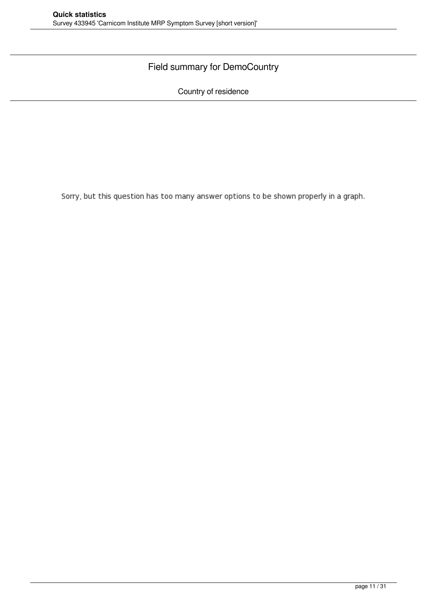#### Field summary for DemoCountry

Country of residence

Sorry, but this question has too many answer options to be shown properly in a graph.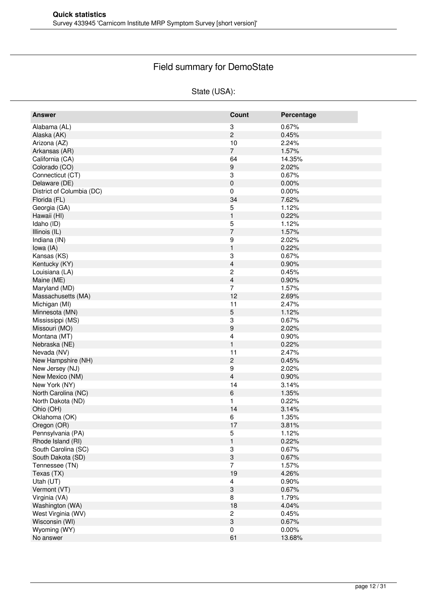# Field summary for DemoState

#### State (USA):

| <b>Answer</b>             | Count                     | Percentage |
|---------------------------|---------------------------|------------|
| Alabama (AL)              | 3                         | 0.67%      |
| Alaska (AK)               | $\overline{c}$            | 0.45%      |
| Arizona (AZ)              | $10$                      | 2.24%      |
| Arkansas (AR)             | $\overline{7}$            | 1.57%      |
| California (CA)           | 64                        | 14.35%     |
| Colorado (CO)             | 9                         | 2.02%      |
| Connecticut (CT)          | 3                         | 0.67%      |
| Delaware (DE)             | 0                         | 0.00%      |
| District of Columbia (DC) | 0                         | 0.00%      |
| Florida (FL)              | 34                        | 7.62%      |
| Georgia (GA)              | 5                         | 1.12%      |
| Hawaii (HI)               | $\mathbf{1}$              | 0.22%      |
| Idaho (ID)                |                           | 1.12%      |
|                           | 5<br>$\overline{7}$       |            |
| Illinois (IL)             |                           | 1.57%      |
| Indiana (IN)              | 9                         | 2.02%      |
| lowa (IA)                 | $\mathbf{1}$              | 0.22%      |
| Kansas (KS)               | 3                         | 0.67%      |
| Kentucky (KY)             | 4                         | 0.90%      |
| Louisiana (LA)            | 2                         | 0.45%      |
| Maine (ME)                | 4                         | 0.90%      |
| Maryland (MD)             | 7                         | 1.57%      |
| Massachusetts (MA)        | 12                        | 2.69%      |
| Michigan (MI)             | 11                        | 2.47%      |
| Minnesota (MN)            | 5                         | 1.12%      |
| Mississippi (MS)          | 3                         | 0.67%      |
| Missouri (MO)             | 9                         | 2.02%      |
| Montana (MT)              | 4                         | 0.90%      |
| Nebraska (NE)             | $\mathbf{1}$              | 0.22%      |
| Nevada (NV)               | 11                        | 2.47%      |
| New Hampshire (NH)        | $\overline{c}$            | 0.45%      |
| New Jersey (NJ)           | 9                         | 2.02%      |
| New Mexico (NM)           | 4                         | 0.90%      |
| New York (NY)             | 14                        | 3.14%      |
| North Carolina (NC)       | 6                         | 1.35%      |
| North Dakota (ND)         | 1                         | 0.22%      |
| Ohio (OH)                 | 14                        | 3.14%      |
| Oklahoma (OK)             | 6                         | 1.35%      |
| Oregon (OR)               | 17                        | 3.81%      |
| Pennsylvania (PA)         | 5                         | 1.12%      |
| Rhode Island (RI)         | $\mathbf{1}$              | 0.22%      |
| South Carolina (SC)       | 3                         | 0.67%      |
| South Dakota (SD)         | $\ensuremath{\mathsf{3}}$ | 0.67%      |
| Tennessee (TN)            | $\overline{7}$            | 1.57%      |
| Texas (TX)                | 19                        | 4.26%      |
| Utah (UT)                 | 4                         | 0.90%      |
| Vermont (VT)              | 3                         | 0.67%      |
|                           | 8                         |            |
| Virginia (VA)             |                           | 1.79%      |
| Washington (WA)           | 18                        | 4.04%      |
| West Virginia (WV)        | 2                         | 0.45%      |
| Wisconsin (WI)            | 3                         | 0.67%      |
| Wyoming (WY)              | 0                         | $0.00\%$   |
| No answer                 | 61                        | 13.68%     |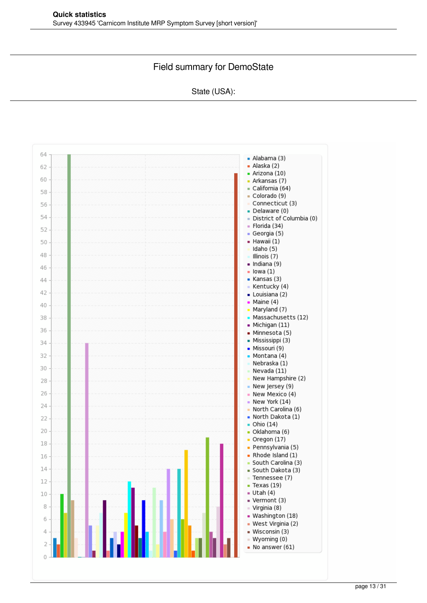#### Field summary for DemoState

#### State (USA):

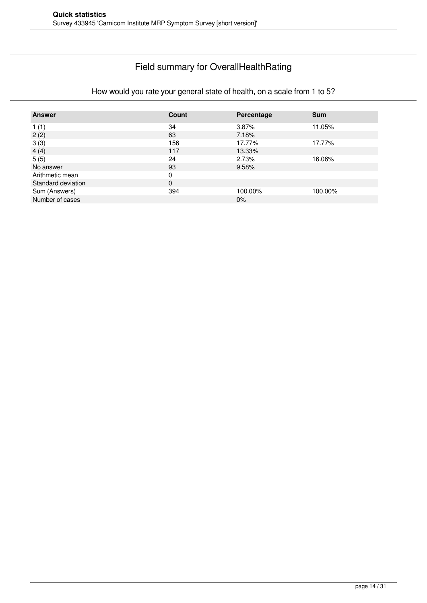#### Field summary for OverallHealthRating

# How would you rate your general state of health, on a scale from 1 to 5?

| <b>Answer</b>      | Count    | Percentage | <b>Sum</b> |
|--------------------|----------|------------|------------|
| 1(1)               | 34       | 3.87%      | 11.05%     |
| 2(2)               | 63       | 7.18%      |            |
| 3(3)               | 156      | 17.77%     | 17.77%     |
| 4(4)               | 117      | 13.33%     |            |
| 5(5)               | 24       | 2.73%      | 16.06%     |
| No answer          | 93       | 9.58%      |            |
| Arithmetic mean    | 0        |            |            |
| Standard deviation | $\Omega$ |            |            |
| Sum (Answers)      | 394      | 100.00%    | 100.00%    |
| Number of cases    |          | 0%         |            |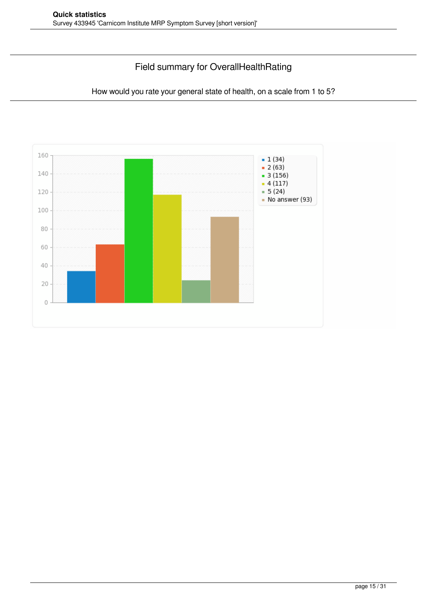### Field summary for OverallHealthRating

How would you rate your general state of health, on a scale from 1 to 5?

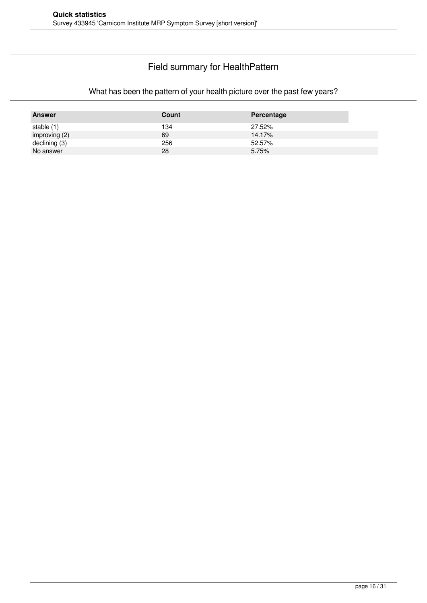### Field summary for HealthPattern

#### What has been the pattern of your health picture over the past few years?

| <b>Answer</b> | Count | Percentage |
|---------------|-------|------------|
| stable (1)    | 134   | 27.52%     |
| improving (2) | 69    | 14.17%     |
| declining (3) | 256   | 52.57%     |
| No answer     | 28    | 5.75%      |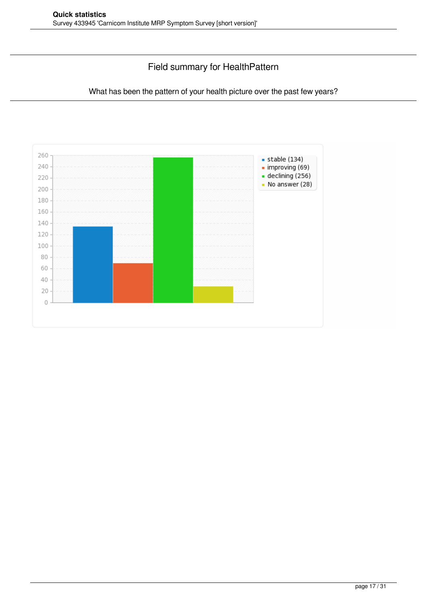### Field summary for HealthPattern

#### What has been the pattern of your health picture over the past few years?

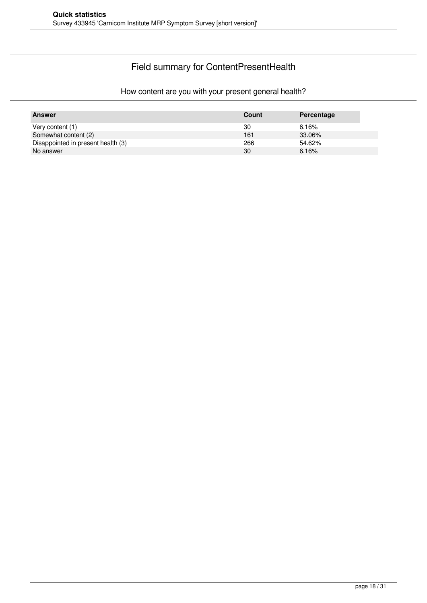# Field summary for ContentPresentHealth

#### How content are you with your present general health?

| <b>Answer</b>                      | Count | Percentage |
|------------------------------------|-------|------------|
| Very content (1)                   | 30    | 6.16%      |
| Somewhat content (2)               | 161   | 33.06%     |
| Disappointed in present health (3) | 266   | 54.62%     |
| No answer                          | 30    | 6.16%      |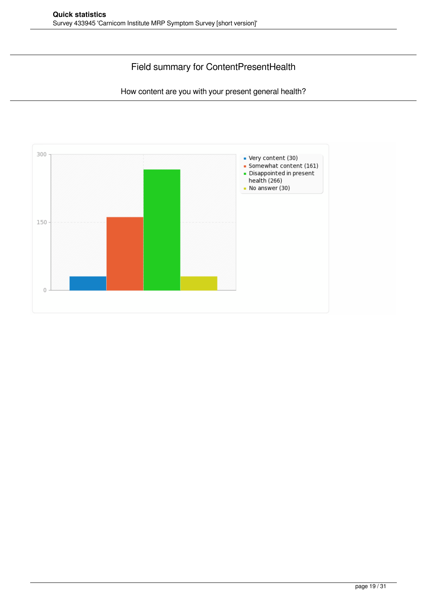#### Field summary for ContentPresentHealth

How content are you with your present general health?

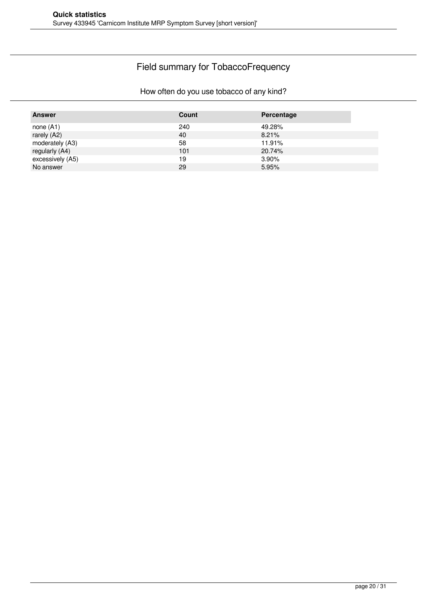# Field summary for TobaccoFrequency

#### How often do you use tobacco of any kind?

| <b>Answer</b>    | <b>Count</b> | Percentage |
|------------------|--------------|------------|
| none $(A1)$      | 240          | 49.28%     |
| rarely (A2)      | 40           | 8.21%      |
| moderately (A3)  | 58           | 11.91%     |
| regularly (A4)   | 101          | 20.74%     |
| excessively (A5) | 19           | 3.90%      |
| No answer        | 29           | 5.95%      |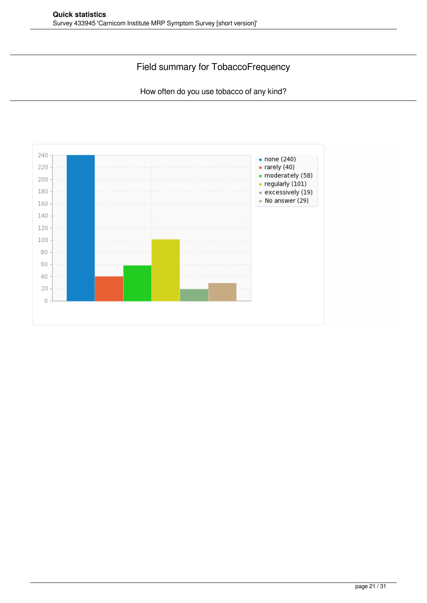### Field summary for TobaccoFrequency

How often do you use tobacco of any kind?

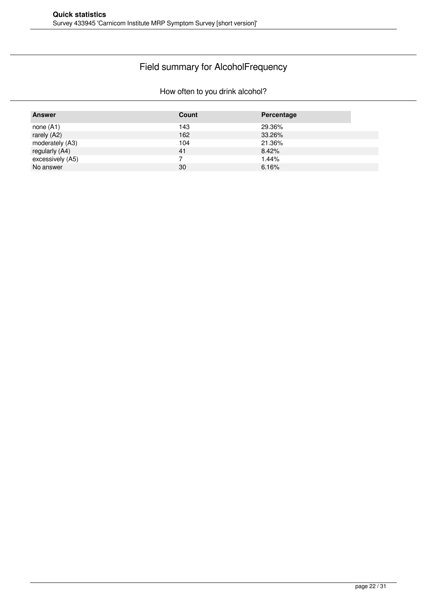#### Field summary for AlcoholFrequency

#### How often to you drink alcohol?

| <b>Answer</b>    | Count | Percentage |
|------------------|-------|------------|
| none $(A1)$      | 143   | 29.36%     |
| rarely (A2)      | 162   | 33.26%     |
| moderately (A3)  | 104   | 21.36%     |
| regularly (A4)   | 41    | 8.42%      |
| excessively (A5) |       | 1.44%      |
| No answer        | 30    | 6.16%      |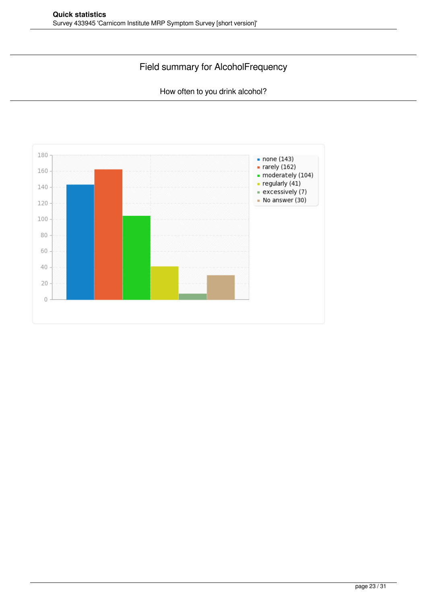### Field summary for AlcoholFrequency

How often to you drink alcohol?

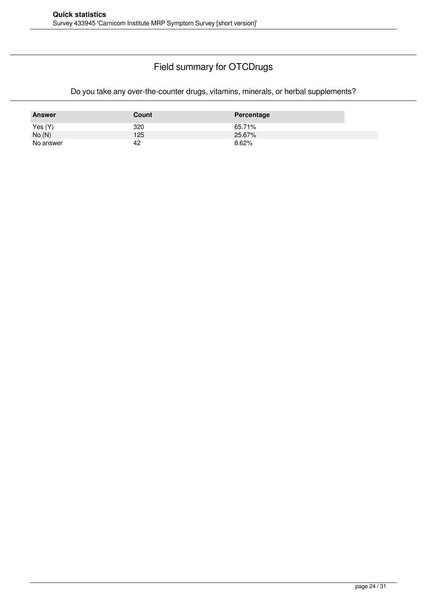#### Field summary for OTCDrugs

#### Do you take any over-the-counter drugs, vitamins, minerals, or herbal supplements?

| <b>Answer</b> | Count | Percentage |
|---------------|-------|------------|
| Yes $(Y)$     | 320   | 65.71%     |
| No(N)         | 125   | 25.67%     |
| No answer     | 42    | 8.62%      |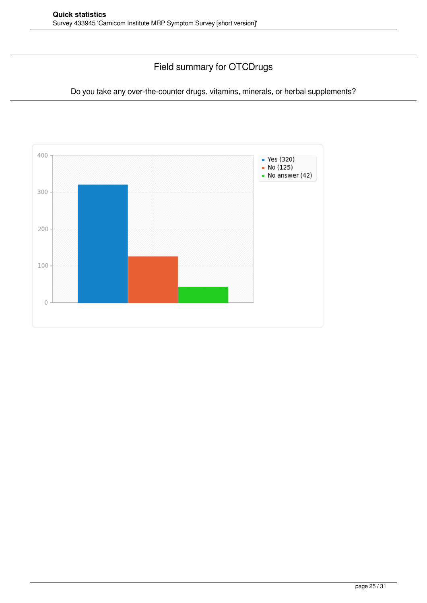### Field summary for OTCDrugs

Do you take any over-the-counter drugs, vitamins, minerals, or herbal supplements?

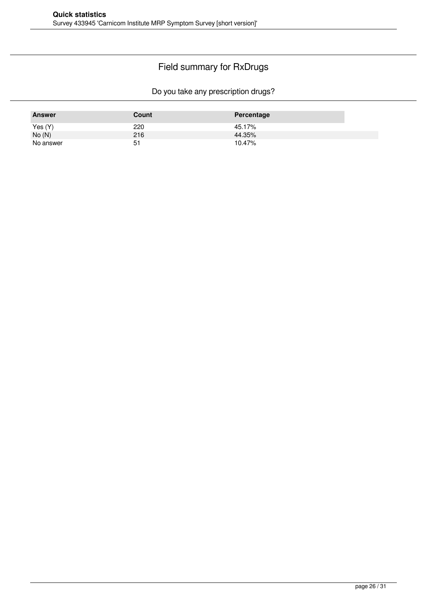# Field summary for RxDrugs

Do you take any prescription drugs?

| <b>Answer</b> | Count | Percentage |
|---------------|-------|------------|
| Yes (Y)       | 220   | 45.17%     |
| No(N)         | 216   | 44.35%     |
| No answer     | 51    | 10.47%     |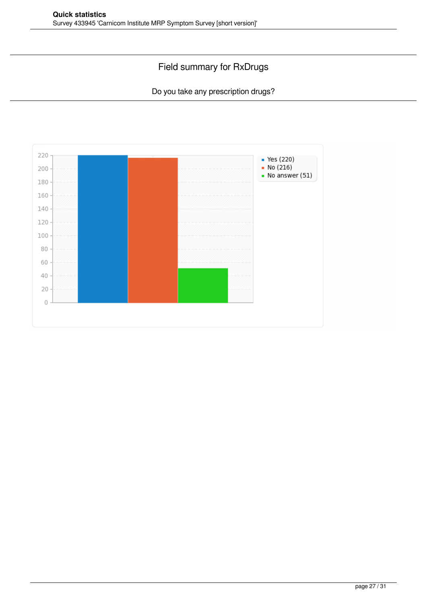### Field summary for RxDrugs

Do you take any prescription drugs?

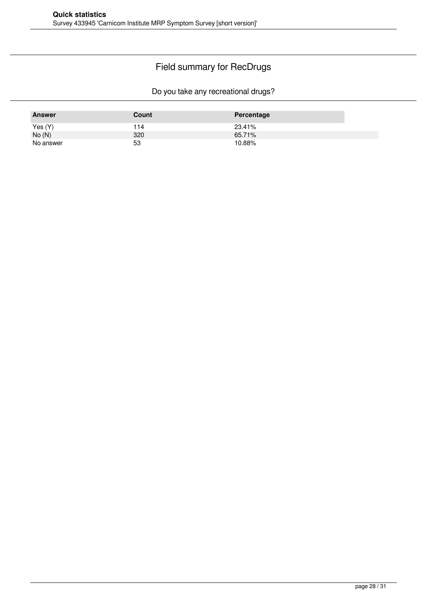# Field summary for RecDrugs

Do you take any recreational drugs?

| <b>Answer</b> | Count | Percentage |
|---------------|-------|------------|
| Yes(Y)        | 114   | 23.41%     |
| No(N)         | 320   | 65.71%     |
| No answer     | 53    | 10.88%     |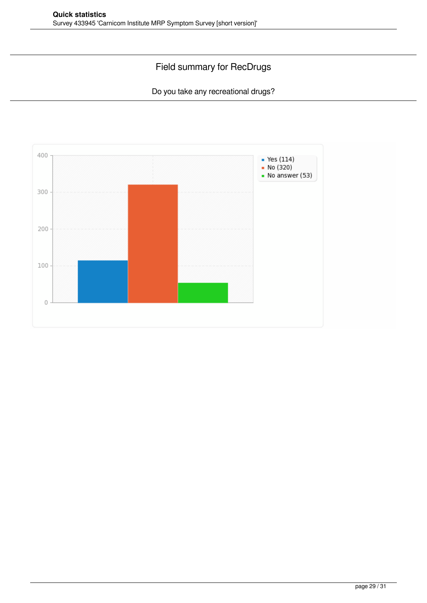### Field summary for RecDrugs

Do you take any recreational drugs?

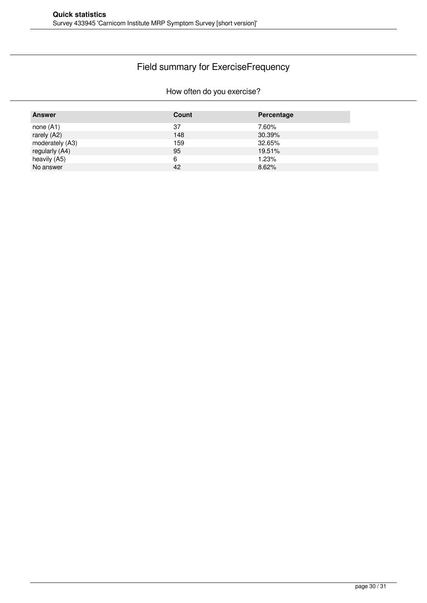# Field summary for ExerciseFrequency

#### How often do you exercise?

| <b>Answer</b>   | Count | Percentage |
|-----------------|-------|------------|
| none $(A1)$     | 37    | 7.60%      |
| rarely (A2)     | 148   | 30.39%     |
| moderately (A3) | 159   | 32.65%     |
| regularly (A4)  | 95    | 19.51%     |
| heavily (A5)    | 6     | 1.23%      |
| No answer       | 42    | 8.62%      |